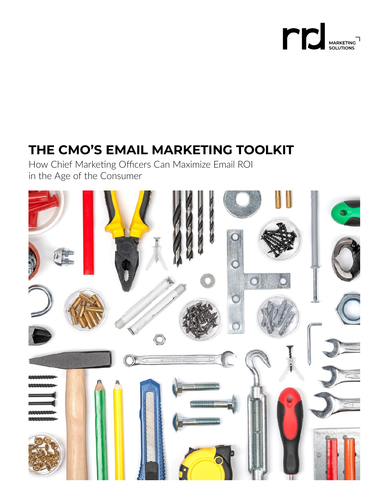

# **THE CMO'S EMAIL MARKETING TOOLKIT**

How Chief Marketing Officers Can Maximize Email ROI in the Age of the Consumer

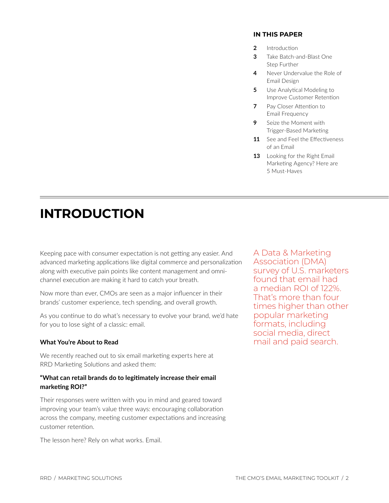### **IN THIS PAPER**

- **2** Introduction
- **3** [Take Batch-and-Blast One](#page-2-0) Step Further
- **4** [Never Undervalue the Role of](#page-3-0) Email Design
- **5** Use Analytical Modeling to [Improve Customer Retention](#page-4-0)
- **7** Pay Closer Attention to Email Frequency
- **9** Seize the Moment with [Trigger-Based Marketing](#page-8-0)
- **11** [See and Feel the Effectiveness](#page-10-0) of an Email
- **13** Looking for the Right Email [Marketing Agency? Here are](#page-12-0) 5 Must-Haves

# **INTRODUCTION**

 advanced marketing applications like digital commerce and personalization Keeping pace with consumer expectation is not getting any easier. And along with executive pain points like content management and omnichannel execution are making it hard to catch your breath.

Now more than ever, CMOs are seen as a major influencer in their brands' customer experience, tech spending, and overall growth.

As you continue to do what's necessary to evolve your brand, we'd hate for you to lose sight of a classic: email.

# **What You're About to Read**

We recently reached out to six email marketing experts here at RRD Marketing Solutions and asked them:

## **"What can retail brands do to legitimately increase their email marketing ROI?"**

Their responses were written with you in mind and geared toward improving your team's value three ways: encouraging collaboration across the company, meeting customer expectations and increasing customer retention.

The lesson here? Rely on what works. Email.

A Data & Marketing Association (DMA) survey of U.S. marketers found that email had a median ROI of 122%. That's more than four times higher than other popular marketing formats, including social media, direct mail and paid search.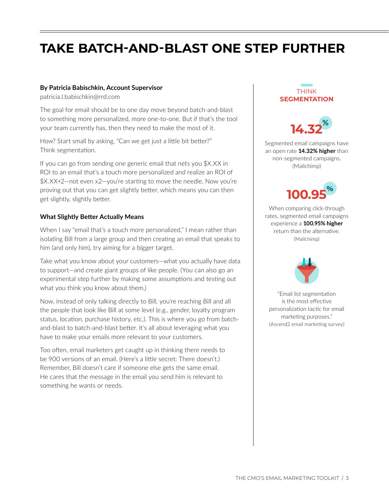# <span id="page-2-0"></span>**TAKE BATCH-AND-BLAST ONE STEP FURTHER**

### **By Patricia Babischkin, Account Supervisor**

[patricia.l.babischkin@rrd.com](mailto:patricia.l.babischkin@rrd.com)

The goal for email should be to one day move beyond batch-and-blast to something more personalized, more one-to-one. But if that's the tool your team currently has, then they need to make the most of it.

How? Start small by asking, "Can we get just a little bit better?" Think segmentation.

If you can go from sending one generic email that nets you \$X.XX in ROI to an email that's a touch more personalized and realize an ROI of \$X.XX+2—not even x2—you're starting to move the needle. Now you're proving out that you can get slightly better, which means you can then get slightly, slightly better.

### **What Slightly Better Actually Means**

When I say "email that's a touch more personalized," I mean rather than isolating Bill from a large group and then creating an email that speaks to him (and only him), try aiming for a bigger target.

Take what you know about your customers—what you actually have data to support—and create giant groups of like people. (You can also go an experimental step further by making some assumptions and testing out what you think you know about them.)

Now, instead of only talking directly to Bill, you're reaching Bill and all the people that look like Bill at some level (e.g., gender, loyalty program status, location, purchase history, etc.). This is where you go from batchand-blast to batch-and-blast better. It's all about leveraging what you have to make your emails more relevant to your customers.

Too often, email marketers get caught up in thinking there needs to be 900 versions of an email. (Here's a little secret: There doesn't.) Remember, Bill doesn't care if someone else gets the same email. He cares that the message in the email you send him is relevant to something he wants or needs.

# THINK **SEGMENTATION**



Segmented email campaigns have an open rate **14.32% higher** than non-segmented campaigns. (Mailchimp)



When comparing click-through rates, segmented email campaigns experience a **100.95% higher**  return than the alternative. (Mailchimp)



"Email list segmentation is the most effective personalization tactic for email marketing purposes." (Ascend2 email marketing survey)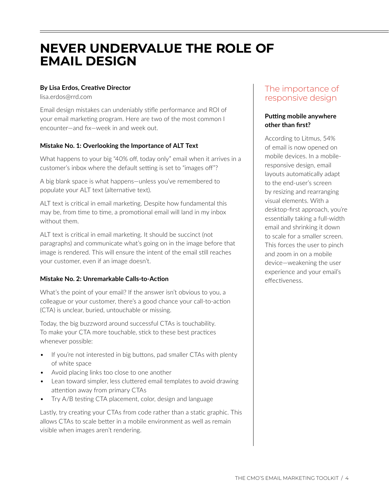# <span id="page-3-0"></span>**NEVER UNDERVALUE THE ROLE OF EMAIL DESIGN**

# **By Lisa Erdos, Creative Director**

[lisa.erdos@rrd.com](mailto:lisa.erdos@rrd.com)

Email design mistakes can undeniably stifle performance and ROI of your email marketing program. Here are two of the most common I encounter—and fix—week in and week out.

# **Mistake No. 1: Overlooking the Importance of ALT Text**

What happens to your big "40% off, today only" email when it arrives in a customer's inbox where the default setting is set to "images off"?

A big blank space is what happens—unless you've remembered to populate your ALT text (alternative text).

ALT text is critical in email marketing. Despite how fundamental this may be, from time to time, a promotional email will land in my inbox without them.

ALT text is critical in email marketing. It should be succinct (not paragraphs) and communicate what's going on in the image before that image is rendered. This will ensure the intent of the email still reaches your customer, even if an image doesn't.

### **Mistake No. 2: Unremarkable Calls-to-Action**

What's the point of your email? If the answer isn't obvious to you, a colleague or your customer, there's a good chance your call-to-action (CTA) is unclear, buried, untouchable or missing.

Today, the big buzzword around successful CTAs is touchability. To make your CTA more touchable, stick to these best practices whenever possible:

- If you're not interested in big buttons, pad smaller CTAs with plenty of white space
- Avoid placing links too close to one another
- Lean toward simpler, less cluttered email templates to avoid drawing attention away from primary CTAs
- Try A/B testing CTA placement, color, design and language

 Lastly, try creating your CTAs from code rather than a static graphic. This allows CTAs to scale better in a mobile environment as well as remain visible when images aren't rendering.

# The importance of responsive design

## **Putting mobile anywhere other than first?**

According to Litmus, 54% of email is now opened on mobile devices. In a mobileresponsive design, email layouts automatically adapt to the end-user's screen by resizing and rearranging visual elements. With a desktop-first approach, you're essentially taking a full-width email and shrinking it down to scale for a smaller screen. This forces the user to pinch and zoom in on a mobile device—weakening the user experience and your email's effectiveness.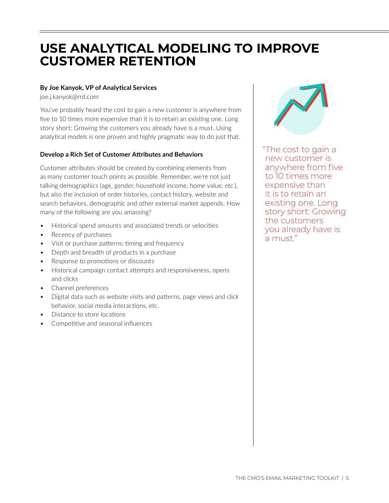# <span id="page-4-0"></span>**USE ANALYTICAL MODELING TO IMPROVE CUSTOMER RETENTION**

## **By Joe Kanyok, VP of Analytical Services**

[joe.j.kanyok@rrd.com](mailto:joe.j.kanyok@rrd.com)

You've probably heard the cost to gain a new customer is anywhere from five to 10 times more expensive than it is to retain an existing one. Long story short: Growing the customers you already have is a must. Using analytical models is one proven and highly pragmatic way to do just that.

## **Develop a Rich Set of Customer Attributes and Behaviors**

Customer attributes should be created by combining elements from as many customer touch points as possible. Remember, we're not just talking demographics (age, gender, household income, home value, etc.), but also the inclusion of order histories, contact history, website and search behaviors, demographic and other external market appends. How many of the following are you amassing?

- Historical spend amounts and associated trends or velocities
- Recency of purchases
- Visit or purchase patterns; timing and frequency
- Depth and breadth of products in a purchase
- Response to promotions or discounts
- Historical campaign contact attempts and responsiveness, opens and clicks
- Channel preferences
- Digital data such as website visits and patterns, page views and click behavior, social media interactions, etc.
- Distance to store locations
- Competitive and seasonal influences



"The cost to gain a new customer is anywhere from five to 10 times more expensive than it is to retain an existing one. Long story short: Growing the customers you already have is a must."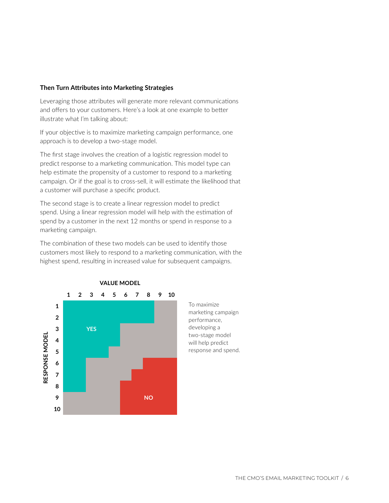#### **Then Turn Attributes into Marketing Strategies**

Leveraging those attributes will generate more relevant communications and offers to your customers. Here's a look at one example to better illustrate what I'm talking about:

If your objective is to maximize marketing campaign performance, one approach is to develop a two-stage model.

The first stage involves the creation of a logistic regression model to predict response to a marketing communication. This model type can help estimate the propensity of a customer to respond to a marketing campaign. Or if the goal is to cross-sell, it will estimate the likelihood that a customer will purchase a specific product.

The second stage is to create a linear regression model to predict spend. Using a linear regression model will help with the estimation of spend by a customer in the next 12 months or spend in response to a marketing campaign.

The combination of these two models can be used to identify those customers most likely to respond to a marketing communication, with the highest spend, resulting in increased value for subsequent campaigns.



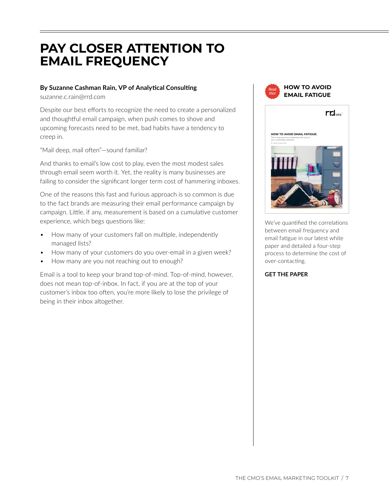# <span id="page-6-0"></span>**PAY CLOSER ATTENTION TO EMAIL FREQUENCY**

## **By Suzanne Cashman Rain, VP of Analytical Consulting**

[suzanne.c.rain@rrd.com](mailto:suzanne.c.rain@rrd.com)

Despite our best efforts to recognize the need to create a personalized and thoughtful email campaign, when push comes to shove and upcoming forecasts need to be met, bad habits have a tendency to creep in.

"Mail deep, mail often"—sound familiar?

And thanks to email's low cost to play, even the most modest sales through email seem worth it. Yet, the reality is many businesses are failing to consider the significant longer term cost of hammering inboxes.

One of the reasons this fast and furious approach is so common is due to the fact brands are measuring their email performance campaign by campaign. Little, if any, measurement is based on a cumulative customer experience, which begs questions like:

- How many of your customers fall on multiple, independently managed lists?
- How many of your customers do you over-email in a given week?
- How many are you not reaching out to enough?

Email is a tool to keep your brand top-of-mind. Top-of-mind, however, does not mean top-of-inbox. In fact, if you are at the top of your customer's inbox too often, you're more likely to lose the privilege of being in their inbox altogether.





 $rd_{\text{max}}$ 

We've quantified the correlations between email frequency and email fatigue in our latest white paper and detailed a four-step process to determine the cost of over-contacting.

#### **[GET THE PAPER](http://www.rrdonnelley.com/marketing-solutions/work/downloads/avoid-email-fatigue-heres-how/)**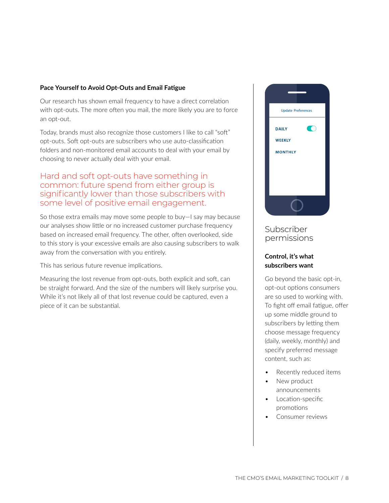### **Pace Yourself to Avoid Opt-Outs and Email Fatigue**

Our research has shown email frequency to have a direct correlation with opt-outs. The more often you mail, the more likely you are to force an opt-out.

Today, brands must also recognize those customers I like to call "soft" opt-outs. Soft opt-outs are subscribers who use auto-classification folders and non-monitored email accounts to deal with your email by choosing to never actually deal with your email.

# Hard and soft opt-outs have something in common: future spend from either group is significantly lower than those subscribers with some level of positive email engagement.

So those extra emails may move some people to buy—I say may because our analyses show little or no increased customer purchase frequency based on increased email frequency. The other, often overlooked, side to this story is your excessive emails are also causing subscribers to walk away from the conversation with you entirely.

This has serious future revenue implications.

Measuring the lost revenue from opt-outs, both explicit and soft, can be straight forward. And the size of the numbers will likely surprise you. While it's not likely all of that lost revenue could be captured, even a piece of it can be substantial.



# Subscriber permissions

# **Control, it's what subscribers want**

Go beyond the basic opt-in, opt-out options consumers are so used to working with. To fight off email fatigue, offer up some middle ground to subscribers by letting them choose message frequency (daily, weekly, monthly) and specify preferred message content, such as:

- Recently reduced items
- New product announcements
- Location-specific promotions
- Consumer reviews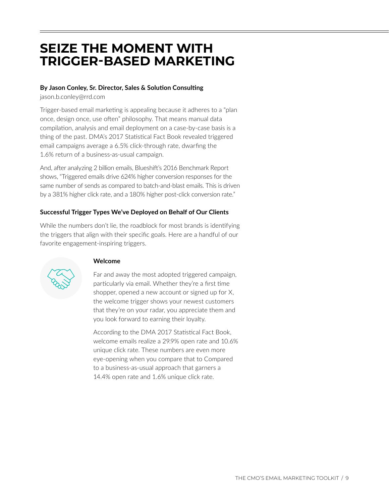# <span id="page-8-0"></span>**SEIZE THE MOMENT WITH TRIGGER-BASED MARKETING**

## **By Jason Conley, Sr. Director, Sales & Solution Consulting**

[jason.b.conley@rrd.com](mailto:jason.b.conley@rrd.com)

Trigger-based email marketing is appealing because it adheres to a "plan once, design once, use often" philosophy. That means manual data compilation, analysis and email deployment on a case-by-case basis is a thing of the past. DMA's 2017 Statistical Fact Book revealed triggered email campaigns average a 6.5% click-through rate, dwarfing the 1.6% return of a business-as-usual campaign.

And, after analyzing 2 billion emails, Blueshift's 2016 Benchmark Report shows, "Triggered emails drive 624% higher conversion responses for the same number of sends as compared to batch-and-blast emails. This is driven by a 381% higher click rate, and a 180% higher post-click conversion rate."

# **Successful Trigger Types We've Deployed on Behalf of Our Clients**

While the numbers don't lie, the roadblock for most brands is identifying the triggers that align with their specific goals. Here are a handful of our favorite engagement-inspiring triggers.



# **Welcome**

Far and away the most adopted triggered campaign, particularly via email. Whether they're a first time shopper, opened a new account or signed up for X, the welcome trigger shows your newest customers that they're on your radar, you appreciate them and you look forward to earning their loyalty.

According to the DMA 2017 Statistical Fact Book, welcome emails realize a 29.9% open rate and 10.6% unique click rate. These numbers are even more eye-opening when you compare that to Compared to a business-as-usual approach that garners a 14.4% open rate and 1.6% unique click rate.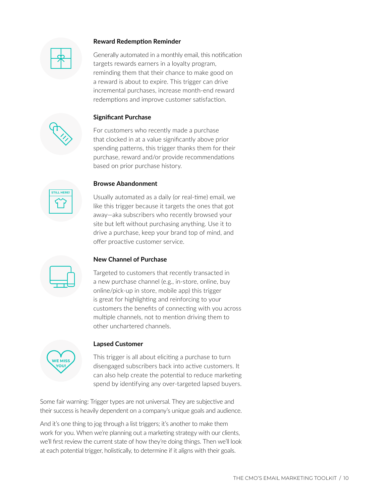### **Reward Redemption Reminder**



Generally automated in a monthly email, this notification targets rewards earners in a loyalty program, reminding them that their chance to make good on a reward is about to expire. This trigger can drive incremental purchases, increase month-end reward redemptions and improve customer satisfaction.

## **Significant Purchase**

For customers who recently made a purchase that clocked in at a value significantly above prior spending patterns, this trigger thanks them for their purchase, reward and/or provide recommendations based on prior purchase history.



#### **Browse Abandonment**

Usually automated as a daily (or real-time) email, we like this trigger because it targets the ones that got away—aka subscribers who recently browsed your site but left without purchasing anything. Use it to drive a purchase, keep your brand top of mind, and offer proactive customer service.

### **New Channel of Purchase**

Targeted to customers that recently transacted in a new purchase channel (e.g., in-store, online, buy online/pick-up in store, mobile app) this trigger is great for highlighting and reinforcing to your customers the benefits of connecting with you across multiple channels, not to mention driving them to other unchartered channels.



#### **Lapsed Customer**

This trigger is all about eliciting a purchase to turn disengaged subscribers back into active customers. It can also help create the potential to reduce marketing spend by identifying any over-targeted lapsed buyers.

Some fair warning: Trigger types are not universal. They are subjective and their success is heavily dependent on a company's unique goals and audience.

And it's one thing to jog through a list triggers; it's another to make them work for you. When we're planning out a marketing strategy with our clients, we'll first review the current state of how they're doing things. Then we'll look at each potential trigger, holistically, to determine if it aligns with their goals.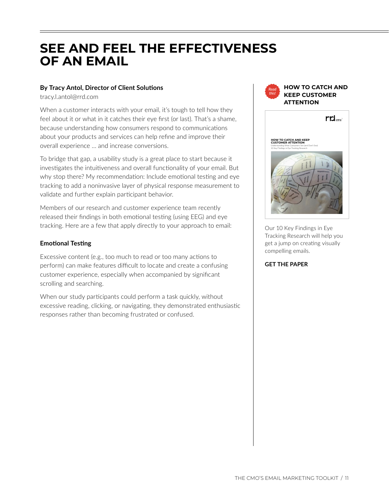# <span id="page-10-0"></span>**SEE AND FEEL THE EFFECTIVENESS OF AN EMAIL**

# **By Tracy Antol, Director of Client Solutions**

[tracy.l.antol@rrd.com](mailto:tracy.l.antol@rrd.com)

When a customer interacts with your email, it's tough to tell how they feel about it or what in it catches their eye first (or last). That's a shame, because understanding how consumers respond to communications about your products and services can help refine and improve their overall experience … and increase conversions.

To bridge that gap, a usability study is a great place to start because it investigates the intuitiveness and overall functionality of your email. But why stop there? My recommendation: Include emotional testing and eye tracking to add a noninvasive layer of physical response measurement to validate and further explain participant behavior.

Members of our research and customer experience team recently released their findings in both emotional testing (using EEG) and eye tracking. Here are a few that apply directly to your approach to email:

## **Emotional Testing**

Excessive content (e.g., too much to read or too many actions to perform) can make features difficult to locate and create a confusing customer experience, especially when accompanied by significant scrolling and searching.

When our study participants could perform a task quickly, without excessive reading, clicking, or navigating, they demonstrated enthusiastic responses rather than becoming frustrated or confused.



Our 10 Key Findings in Eye Tracking Research will help you get a jump on creating visually compelling emails.

#### **[GET THE PAPER](http://www.rrdonnelley.com/marketing-solutions/work/downloads/report-10-key-findings-in-eye-tracking-research/)**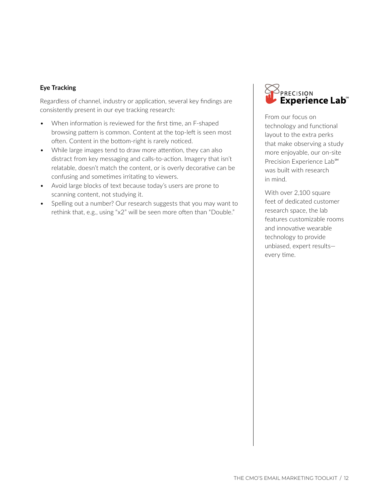## **Eye Tracking**

Regardless of channel, industry or application, several key findings are consistently present in our eye tracking research:

- When information is reviewed for the first time, an F-shaped browsing pattern is common. Content at the top-left is seen most often. Content in the bottom-right is rarely noticed.
- While large images tend to draw more attention, they can also distract from key messaging and calls-to-action. Imagery that isn't relatable, doesn't match the content, or is overly decorative can be confusing and sometimes irritating to viewers.
- Avoid large blocks of text because today's users are prone to scanning content, not studying it.
- Spelling out a number? Our research suggests that you may want to rethink that, e.g., using "x2" will be seen more often than "Double."



From our focus on technology and functional layout to the extra perks that make observing a study more enjoyable, our on-site Precision Experience Lab<sup>SM</sup> was built with research in mind.

With over 2,100 square feet of dedicated customer research space, the lab features customizable rooms and innovative wearable technology to provide unbiased, expert results every time.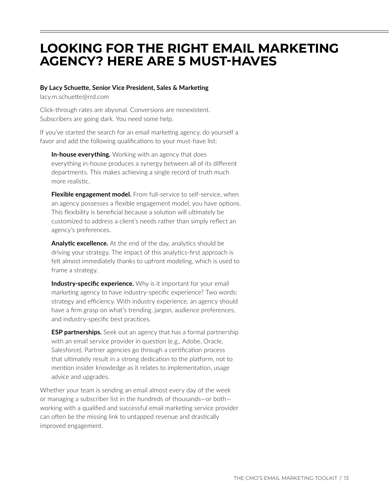# <span id="page-12-0"></span>**LOOKING FOR THE RIGHT EMAIL MARKETING AGENCY? HERE ARE 5 MUST-HAVES**

### **By Lacy Schuette, Senior Vice President, Sales & Marketing**

[lacy.m.schuette@rrd.com](mailto:lacy.m.schuette@rrd.com)

Click-through rates are abysmal. Conversions are nonexistent. Subscribers are going dark. You need some help.

If you've started the search for an email marketing agency, do yourself a favor and add the following qualifications to your must-have list:

**In-house everything.** Working with an agency that does everything in-house produces a synergy between all of its different departments. This makes achieving a single record of truth much more realistic.

**Flexible engagement model.** From full-service to self-service, when an agency possesses a flexible engagement model, you have options. This flexibility is beneficial because a solution will ultimately be customized to address a client's needs rather than simply reflect an agency's preferences.

**Analytic excellence.** At the end of the day, analytics should be driving your strategy. The impact of this analytics-first approach is felt almost immediately thanks to upfront modeling, which is used to frame a strategy.

**Industry-specific experience.** Why is it important for your email marketing agency to have industry-specific experience? Two words: strategy and efficiency. With industry experience, an agency should have a firm grasp on what's trending, jargon, audience preferences, and industry-specific best practices.

**ESP partnerships.** Seek out an agency that has a formal partnership with an email service provider in question (e.g., Adobe, Oracle, Salesforce). Partner agencies go through a certification process that ultimately result in a strong dedication to the platform, not to mention insider knowledge as it relates to implementation, usage advice and upgrades.

Whether your team is sending an email almost every day of the week or managing a subscriber list in the hundreds of thousands—or both working with a qualified and successful email marketing service provider can often be the missing link to untapped revenue and drastically improved engagement.